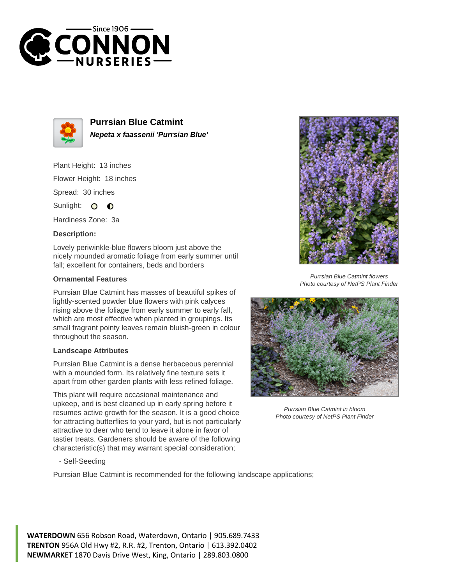



**Purrsian Blue Catmint Nepeta x faassenii 'Purrsian Blue'**

Plant Height: 13 inches Flower Height: 18 inches Spread: 30 inches

Sunlight: O **O** 

Hardiness Zone: 3a

## **Description:**

Lovely periwinkle-blue flowers bloom just above the nicely mounded aromatic foliage from early summer until fall; excellent for containers, beds and borders

## **Ornamental Features**

Purrsian Blue Catmint has masses of beautiful spikes of lightly-scented powder blue flowers with pink calyces rising above the foliage from early summer to early fall, which are most effective when planted in groupings. Its small fragrant pointy leaves remain bluish-green in colour throughout the season.

## **Landscape Attributes**

Purrsian Blue Catmint is a dense herbaceous perennial with a mounded form. Its relatively fine texture sets it apart from other garden plants with less refined foliage.

This plant will require occasional maintenance and upkeep, and is best cleaned up in early spring before it resumes active growth for the season. It is a good choice for attracting butterflies to your yard, but is not particularly attractive to deer who tend to leave it alone in favor of tastier treats. Gardeners should be aware of the following characteristic(s) that may warrant special consideration;



Purrsian Blue Catmint flowers Photo courtesy of NetPS Plant Finder



Purrsian Blue Catmint in bloom Photo courtesy of NetPS Plant Finder

- Self-Seeding

Purrsian Blue Catmint is recommended for the following landscape applications;

**WATERDOWN** 656 Robson Road, Waterdown, Ontario | 905.689.7433 **TRENTON** 956A Old Hwy #2, R.R. #2, Trenton, Ontario | 613.392.0402 **NEWMARKET** 1870 Davis Drive West, King, Ontario | 289.803.0800